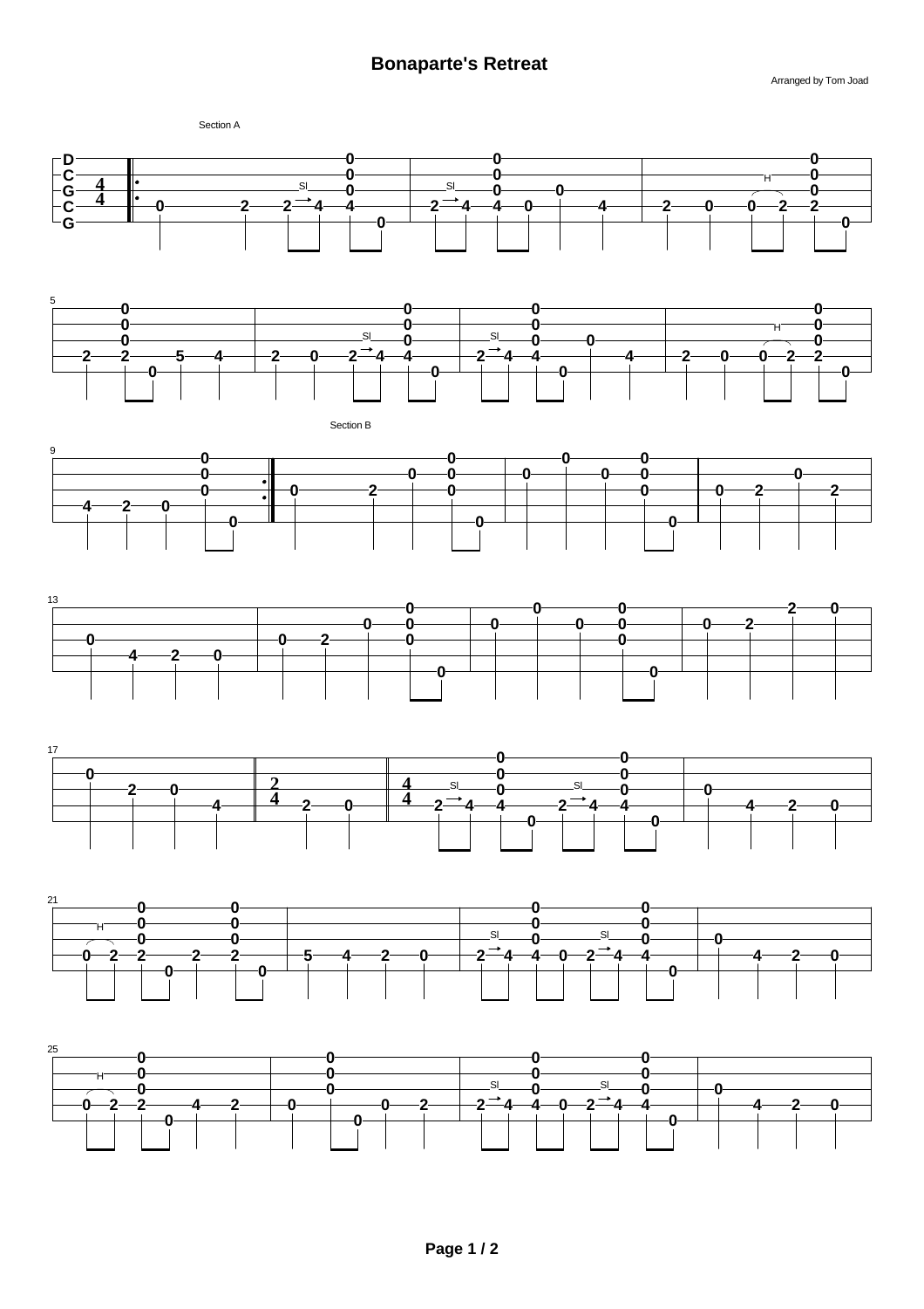Arranged by Tom Joad